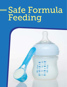# Safe Formula Feeding

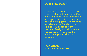#### Dear New Parent,

Thank you for letting us be a part of your first days with your baby. Our job is to give you good information and support so that you can meet your parenting goals. This brochure includes information about the risks of formula feeding. If you decide to feed your baby formula, this brochure will give you the information you need to do so safely.

With thanks, Your Health Care Team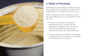

# 1. Risks of Formula

Breastfeeding is the safest, healthiest way to feed a baby. It can be difficult to learn how to breastfeed, but our staff is here to help you.

Before making a decision whether or not to give your baby formula, you should know the key risks:

- Formula is not sterile. The bacteria sometimes found in formula can be dangerous for babies. If you choose to use formula, follow the steps in this brochure to reduce the risk of infection.
- Premature babies, sick babies and babies younger than three months are at a higher risk of infection from formula.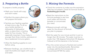## 2. Preparing a Bottle

To prepare a bottle properly:

- Wash your hands with soap and warm water.
- Disinfect the space where you will prepare the bottle.
- Sanitize your feeding supplies at least once a day. To do so, use a bottle sterilizer or dishwasher (if dishwasher safe), or place them in boiling water for five minutes. This is especially important if your baby is younger than three months, premature or has a weakened immune system.



## 3. Mixing the Formula

- Check the container to make sure the expiration date has not passed. Check for formula recalls at foodsafety.gov/recalls.
- Read the instructions on the formula package to see how much water and formula (powder or concentrate) you need.



- Measure enough cold tap water for the amount of formula you plan to prepare.
- Boil the water for one minute and let it cool no longer than 30 minutes. The water must be no cooler than 158 degrees Fahrenheit (70 degrees Celsius) to kill the bacteria in the formula.
- Pour the correct amount of boiled and cooled water into the sterilized bottle. Remember to always add the formula (powder or concentrate) AFTER the water.
- Allow the feeding supplies to cool before using.
- Between feedings, use a bottle brush to wash the bottle and nipple with soap and water.

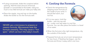- If using concentrate, shake the container before opening. Add the exact amount of formula (powder or concentrate) to the bottle. Using too much or too little formula can make your baby sick.
- Place the nipple, ring and top on the bottle. Shake the bottle to mix the formula well.

NEVER use a microwave to prepare or rewarm formula. Microwaves heat the formula unevenly. This may cause a "hot spot," which can burn the baby's mouth.

## 4. Cooling the Formula

• Check the temperature by dripping some formula on the inside of your wrist. It should feel warm, but not hot.



• If it is too warm, hold the bottle – with the top still

on – under cool tap water to cool the formula. You can also place the bottle in a bowl of ice water.

- When the formula is the right temperature, dry the outside of the bottle.
- Prepared formula can sit at room temperature for two hours. If feeding has begun, use the formula and throw it away within one hour.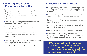#### 5.Making and Storing Formula for Later Use

- If you must prepare feedings in advance, refrigerate the bottles immediately. The refrigerator must be between 35 and 40 degrees Fahrenheit (between 1.66 and 4.44 degrees Celsius).
	- o Throw away any refrigerated formula that has not been used within 24 hours.
- Rewarm the formula within 15 minutes of taking it out of the refrigerator.
	- o To rewarm it, place the bottle in a cup of warm water and shake it to make sure the formula heats evenly.
	- o Throw away any used formula within two hours of taking it out of the refrigerator.
- Follow the instructions on the container for storing unused formula.

# 6. Feeding From a Bottle

- Hold your baby close, look into your baby's eyes and keep eye contact. Feeding is an opportunity to bond.
- Hold your baby so their head is higher than their chest. This allows the baby to swallow safely.
- Follow your baby's cues. Your baby may want to drink slow or fast.
- Let the baby stop sucking often. It is normal to take breaks during a meal.
- Burp the baby during and after every feeding.
- When babies are full, they may turn their heads away, fall asleep or stop sucking. Respect these signs. Never force the baby to finish a bottle.

NEVER prop a baby bottle, leave the baby alone with a bottle, or leave a bottle in the bed or crib with a baby. This can cause the baby to choke, spit up, get ear infections or rot their teeth.